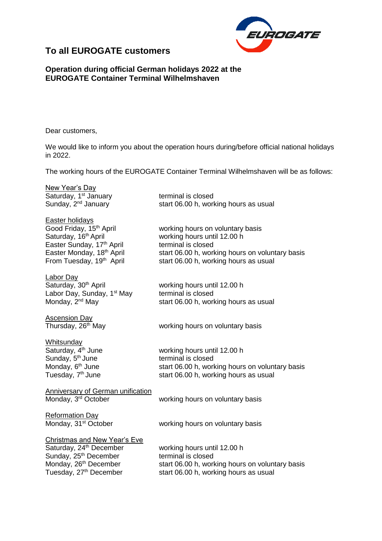

## **To all EUROGATE customers**

## **Operation during official German holidays 2022 at the EUROGATE Container Terminal Wilhelmshaven**

Dear customers,

We would like to inform you about the operation hours during/before official national holidays in 2022.

The working hours of the EUROGATE Container Terminal Wilhelmshaven will be as follows:

New Year's Day Saturday, 1<sup>st</sup> January **terminal is closed**<br>
Sunday, 2<sup>nd</sup> January **the Statube Start 06.00 h, work** 

Easter holidays<br>Good Friday, 15<sup>th</sup> April Easter Sunday, 17<sup>th</sup> April terminal is closed

Labor Day<br>Saturday, 30<sup>th</sup> April Labor Day, Sunday, 1<sup>st</sup> May Monday, 2<sup>nd</sup> May

Ascension Day

start 06.00 h, working hours as usual

working hours on voluntary basis Saturday, 16<sup>th</sup> April **Example 20** working hours until 12.00 h Easter Monday, 18<sup>th</sup> April start 06.00 h, working hours on voluntary basis From Tuesday, 19<sup>th</sup> April start 06.00 h, working hours as usual

> working hours until 12.00 h terminal is closed start 06.00 h, working hours as usual

Thursday, 26<sup>th</sup> May vorking hours on voluntary basis

**Whitsunday** Saturday,  $4<sup>th</sup>$  June Sunday, 5<sup>th</sup> June Monday, 6<sup>th</sup> June Tuesday, 7<sup>th</sup> June

working hours until 12.00 h terminal is closed start 06.00 h, working hours on voluntary basis start 06.00 h, working hours as usual

Anniversary of German unification

Monday, 3<sup>rd</sup> October **Working hours on voluntary basis** 

Reformation Day Monday, 31<sup>st</sup> October working hours on voluntary basis

Christmas and New Year's Eve

Saturday, 24<sup>th</sup> December working hours until 12.00 h Sunday, 25<sup>th</sup> December terminal is closed

Monday, 26<sup>th</sup> December start 06.00 h, working hours on voluntary basis Tuesday, 27<sup>th</sup> December start 06.00 h, working hours as usual